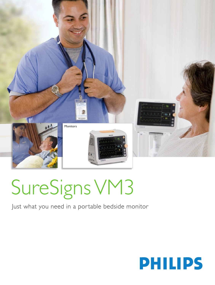

# SureSigns VM3

## Just what you need in a portable bedside monitor

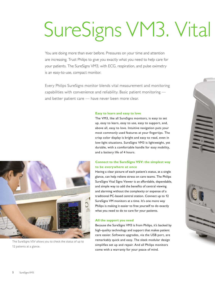# SureSigns VM3. Vital

You are doing more than ever before. Pressures on your time and attention are increasing. Trust Philips to give you exactly what you need to help care for your patients. The SureSigns VM3, with ECG, respiration, and pulse oximetry is an easy-to-use, compact monitor.

Every Philips SureSigns monitor blends vital measurement and monitoring capabilities with convenience and reliability. Basic patient monitoring and better patient care — have never been more clear.

## **Easy to learn and easy to love**

The VM3, like all SureSigns monitors, is easy to set up, easy to learn, easy to use, easy to support, and, above all, easy to love. Intuitive navigation puts your most commonly used features at your fingertips. The crisp color display is bright and easy to read, even in low-light situations. SureSigns VM3 is lightweight, yet durable, with a comfortable handle for easy mobility, and a battery life of 4 hours.

## **Connect to the SureSigns VSV: the simplest way to be everywhere at once**

Having a clear picture of each patient's status, at a single glance, can help relieve stress on care teams. The Philips SureSigns Vital Signs Viewer is an affordable, dependable, and simple way to add the benefits of central viewing and alarming without the complexity or expense of a traditional PC-based central station. Connect up to 12 SureSigns VM monitors at a time. It's one more way Philips is making it easier to free yourself to do exactly what you need to do to care for your patients.

## **All the support you need**

Because the SureSigns VM3 is from Philips, it's backed by high-quality technology and support that makes patient care easier. Software upgrades, via the USB port, are remarkably quick and easy. The sleek modular design simplifies set up and repair. And all Philips monitors come with a warranty for your peace of mind.



The SureSigns VSV allows you to check the status of up to 12 patients at a glance.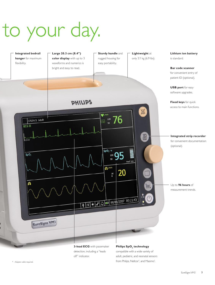## to your day.



detection, including a "leads off" indicator.

compatible with a wide variety of adult, pediatric, and neonatal sensors from Philips, Nellcor<sup>\*</sup>, and Masimo<sup>\*</sup> .

\* Adapter cable required.